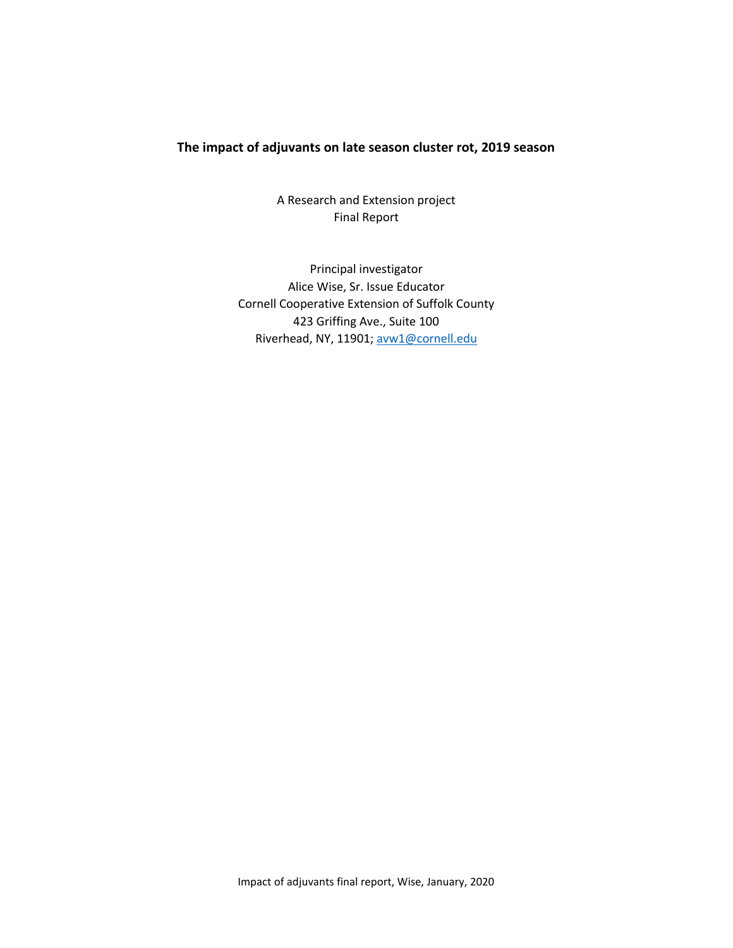## **The impact of adjuvants on late season cluster rot, 2019 season**

A Research and Extension project Final Report

Principal investigator Alice Wise, Sr. Issue Educator Cornell Cooperative Extension of Suffolk County 423 Griffing Ave., Suite 100 Riverhead, NY, 11901[; avw1@cornell.edu](mailto:avw1@cornell.edu)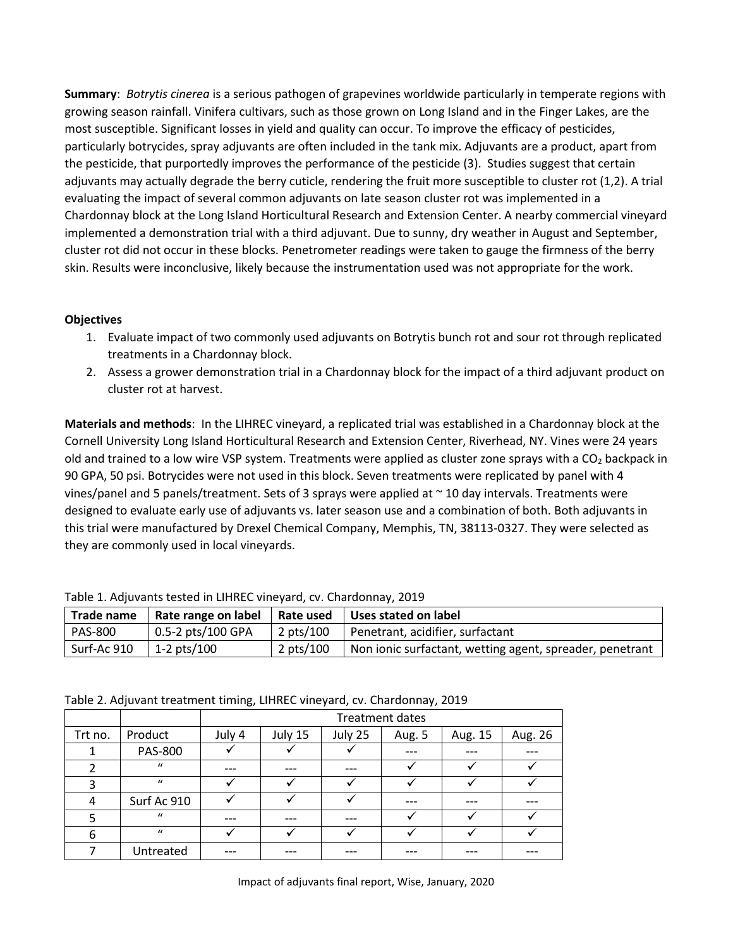**Summary**: *Botrytis cinerea* is a serious pathogen of grapevines worldwide particularly in temperate regions with growing season rainfall. Vinifera cultivars, such as those grown on Long Island and in the Finger Lakes, are the most susceptible. Significant losses in yield and quality can occur. To improve the efficacy of pesticides, particularly botrycides, spray adjuvants are often included in the tank mix. Adjuvants are a product, apart from the pesticide, that purportedly improves the performance of the pesticide (3). Studies suggest that certain adjuvants may actually degrade the berry cuticle, rendering the fruit more susceptible to cluster rot (1,2). A trial evaluating the impact of several common adjuvants on late season cluster rot was implemented in a Chardonnay block at the Long Island Horticultural Research and Extension Center. A nearby commercial vineyard implemented a demonstration trial with a third adjuvant. Due to sunny, dry weather in August and September, cluster rot did not occur in these blocks. Penetrometer readings were taken to gauge the firmness of the berry skin. Results were inconclusive, likely because the instrumentation used was not appropriate for the work.

## **Objectives**

- 1. Evaluate impact of two commonly used adjuvants on Botrytis bunch rot and sour rot through replicated treatments in a Chardonnay block.
- 2. Assess a grower demonstration trial in a Chardonnay block for the impact of a third adjuvant product on cluster rot at harvest.

**Materials and methods**: In the LIHREC vineyard, a replicated trial was established in a Chardonnay block at the Cornell University Long Island Horticultural Research and Extension Center, Riverhead, NY. Vines were 24 years old and trained to a low wire VSP system. Treatments were applied as cluster zone sprays with a  $CO<sub>2</sub>$  backpack in 90 GPA, 50 psi. Botrycides were not used in this block. Seven treatments were replicated by panel with 4 vines/panel and 5 panels/treatment. Sets of 3 sprays were applied at ~ 10 day intervals. Treatments were designed to evaluate early use of adjuvants vs. later season use and a combination of both. Both adjuvants in this trial were manufactured by Drexel Chemical Company, Memphis, TN, 38113-0327. They were selected as they are commonly used in local vineyards.

| Table 1. Adjavants tested in Entrice vineyard, ev. Charachinay, 2015 |                      |           |                                                          |  |  |  |  |  |  |
|----------------------------------------------------------------------|----------------------|-----------|----------------------------------------------------------|--|--|--|--|--|--|
| Trade name                                                           | Uses stated on label |           |                                                          |  |  |  |  |  |  |
| <b>PAS-800</b>                                                       | $0.5-2$ pts/100 GPA  | 2 pts/100 | Penetrant, acidifier, surfactant                         |  |  |  |  |  |  |
| Surf-Ac 910                                                          | 1-2 $pts/100$        | 2 pts/100 | Non ionic surfactant, wetting agent, spreader, penetrant |  |  |  |  |  |  |

Table 1. Adjuvants tested in LIHREC vineyard, cv. Chardonnay, 2019

Table 2. Adjuvant treatment timing, LIHREC vineyard, cv. Chardonnay, 2019

|         |                | <b>Treatment dates</b> |         |         |        |         |         |  |  |  |  |  |
|---------|----------------|------------------------|---------|---------|--------|---------|---------|--|--|--|--|--|
| Trt no. | Product        | July 4                 | July 15 | July 25 | Aug. 5 | Aug. 15 | Aug. 26 |  |  |  |  |  |
|         | <b>PAS-800</b> |                        |         |         |        |         |         |  |  |  |  |  |
|         | $\mathbf{u}$   |                        |         |         |        |         |         |  |  |  |  |  |
|         | $\mathbf{u}$   |                        |         |         |        |         |         |  |  |  |  |  |
| 4       | Surf Ac 910    |                        |         |         |        |         |         |  |  |  |  |  |
|         | $\mathbf{u}$   |                        |         |         |        |         |         |  |  |  |  |  |
|         | $\mathbf{u}$   |                        |         |         |        |         |         |  |  |  |  |  |

7 | Untreated | --- | --- | --- | --- | --- | ---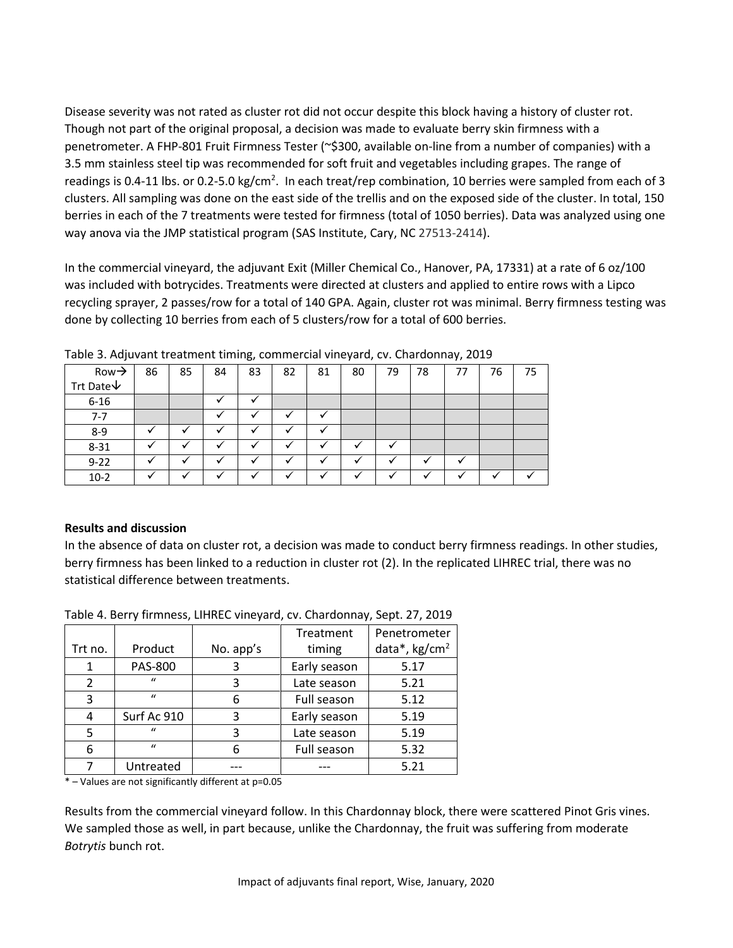Disease severity was not rated as cluster rot did not occur despite this block having a history of cluster rot. Though not part of the original proposal, a decision was made to evaluate berry skin firmness with a penetrometer. A FHP-801 Fruit Firmness Tester (~\$300, available on-line from a number of companies) with a 3.5 mm stainless steel tip was recommended for soft fruit and vegetables including grapes. The range of readings is 0.4-11 lbs. or 0.2-5.0 kg/cm<sup>2</sup>. In each treat/rep combination, 10 berries were sampled from each of 3 clusters. All sampling was done on the east side of the trellis and on the exposed side of the cluster. In total, 150 berries in each of the 7 treatments were tested for firmness (total of 1050 berries). Data was analyzed using one way anova via the JMP statistical program (SAS Institute, Cary, NC 27513-2414).

In the commercial vineyard, the adjuvant Exit (Miller Chemical Co., Hanover, PA, 17331) at a rate of 6 oz/100 was included with botrycides. Treatments were directed at clusters and applied to entire rows with a Lipco recycling sprayer, 2 passes/row for a total of 140 GPA. Again, cluster rot was minimal. Berry firmness testing was done by collecting 10 berries from each of 5 clusters/row for a total of 600 berries.

| $Row \rightarrow$          | 86 | 85 | 84 | 83 | 82      | 81 | 80 | 79           | 78 | 77 | 76 | 75 |
|----------------------------|----|----|----|----|---------|----|----|--------------|----|----|----|----|
| Trt Date $\bm{\downarrow}$ |    |    |    |    |         |    |    |              |    |    |    |    |
| $6 - 16$                   |    |    |    |    |         |    |    |              |    |    |    |    |
| 7-7                        |    |    |    |    |         | v  |    |              |    |    |    |    |
| $8-9$                      |    |    |    |    |         |    |    |              |    |    |    |    |
| $8 - 31$                   |    |    |    |    | √       |    |    | $\checkmark$ |    |    |    |    |
| $9 - 22$                   |    |    |    |    |         |    |    |              |    |    |    |    |
| $10-2$                     |    |    |    |    | $\cdot$ |    |    |              |    |    |    |    |

Table 3. Adjuvant treatment timing, commercial vineyard, cv. Chardonnay, 2019

## **Results and discussion**

In the absence of data on cluster rot, a decision was made to conduct berry firmness readings. In other studies, berry firmness has been linked to a reduction in cluster rot (2). In the replicated LIHREC trial, there was no statistical difference between treatments.

|         |                |           | Treatment    | Penetrometer            |  |  |
|---------|----------------|-----------|--------------|-------------------------|--|--|
| Trt no. | Product        | No. app's | timing       | data*, $\text{kg/cm}^2$ |  |  |
|         | <b>PAS-800</b> | 3         | Early season | 5.17                    |  |  |
| 2       | $\mathbf{u}$   | 3         | Late season  | 5.21                    |  |  |
| 3       | $\mathbf{u}$   | 6         | Full season  | 5.12                    |  |  |
| 4       | Surf Ac 910    | 3         | Early season | 5.19                    |  |  |
| 5       | $\mathbf{u}$   | 3         | Late season  | 5.19                    |  |  |
| 6       | $\mathbf{u}$   | 6         | Full season  | 5.32                    |  |  |
|         | Untreated      |           |              | 5.21                    |  |  |
| .       |                |           |              |                         |  |  |

Table 4. Berry firmness, LIHREC vineyard, cv. Chardonnay, Sept. 27, 2019

\* – Values are not significantly different at p=0.05

Results from the commercial vineyard follow. In this Chardonnay block, there were scattered Pinot Gris vines. We sampled those as well, in part because, unlike the Chardonnay, the fruit was suffering from moderate *Botrytis* bunch rot.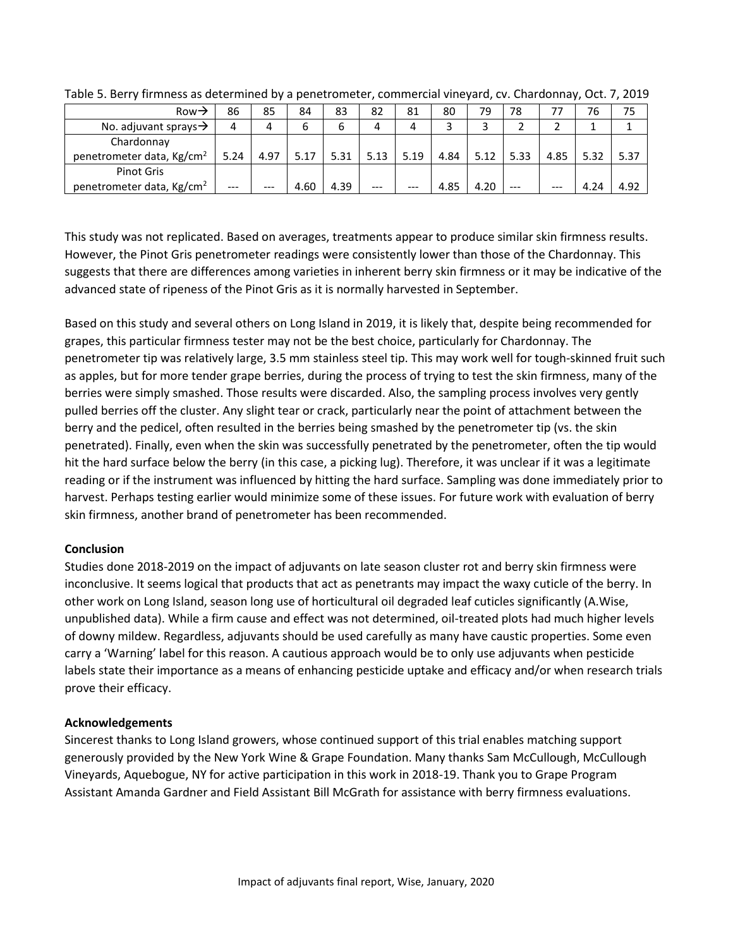| Row $\rightarrow$                     | 86    | 85    | 84   | 83   | 82   | 81    | 80   | 79   | 78      | 77   | 76   | 75   |
|---------------------------------------|-------|-------|------|------|------|-------|------|------|---------|------|------|------|
| No. adjuvant sprays $\rightarrow$     | 4     |       | ь    | 6    | 4    | 4     |      |      |         |      |      |      |
| Chardonnay                            |       |       |      |      |      |       |      |      |         |      |      |      |
| penetrometer data, Kg/cm <sup>2</sup> | 5.24  | 4.97  | 5.17 | 5.31 | 5.13 | 5.19  | 4.84 | 5.12 | 5.33    | 4.85 | 5.32 | 5.37 |
| <b>Pinot Gris</b>                     |       |       |      |      |      |       |      |      |         |      |      |      |
| penetrometer data, Kg/cm <sup>2</sup> | $---$ | $---$ | 4.60 | 4.39 | ---  | $---$ | 4.85 | 4.20 | $- - -$ | ---  | 4.24 | 4.92 |

Table 5. Berry firmness as determined by a penetrometer, commercial vineyard, cv. Chardonnay, Oct. 7, 2019

This study was not replicated. Based on averages, treatments appear to produce similar skin firmness results. However, the Pinot Gris penetrometer readings were consistently lower than those of the Chardonnay. This suggests that there are differences among varieties in inherent berry skin firmness or it may be indicative of the advanced state of ripeness of the Pinot Gris as it is normally harvested in September.

Based on this study and several others on Long Island in 2019, it is likely that, despite being recommended for grapes, this particular firmness tester may not be the best choice, particularly for Chardonnay. The penetrometer tip was relatively large, 3.5 mm stainless steel tip. This may work well for tough-skinned fruit such as apples, but for more tender grape berries, during the process of trying to test the skin firmness, many of the berries were simply smashed. Those results were discarded. Also, the sampling process involves very gently pulled berries off the cluster. Any slight tear or crack, particularly near the point of attachment between the berry and the pedicel, often resulted in the berries being smashed by the penetrometer tip (vs. the skin penetrated). Finally, even when the skin was successfully penetrated by the penetrometer, often the tip would hit the hard surface below the berry (in this case, a picking lug). Therefore, it was unclear if it was a legitimate reading or if the instrument was influenced by hitting the hard surface. Sampling was done immediately prior to harvest. Perhaps testing earlier would minimize some of these issues. For future work with evaluation of berry skin firmness, another brand of penetrometer has been recommended.

#### **Conclusion**

Studies done 2018-2019 on the impact of adjuvants on late season cluster rot and berry skin firmness were inconclusive. It seems logical that products that act as penetrants may impact the waxy cuticle of the berry. In other work on Long Island, season long use of horticultural oil degraded leaf cuticles significantly (A.Wise, unpublished data). While a firm cause and effect was not determined, oil-treated plots had much higher levels of downy mildew. Regardless, adjuvants should be used carefully as many have caustic properties. Some even carry a 'Warning' label for this reason. A cautious approach would be to only use adjuvants when pesticide labels state their importance as a means of enhancing pesticide uptake and efficacy and/or when research trials prove their efficacy.

#### **Acknowledgements**

Sincerest thanks to Long Island growers, whose continued support of this trial enables matching support generously provided by the New York Wine & Grape Foundation. Many thanks Sam McCullough, McCullough Vineyards, Aquebogue, NY for active participation in this work in 2018-19. Thank you to Grape Program Assistant Amanda Gardner and Field Assistant Bill McGrath for assistance with berry firmness evaluations.